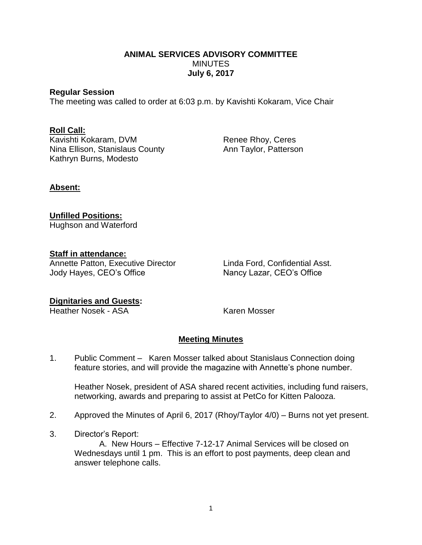### **ANIMAL SERVICES ADVISORY COMMITTEE** MINUTES **July 6, 2017**

#### **Regular Session**

The meeting was called to order at 6:03 p.m. by Kavishti Kokaram, Vice Chair

## **Roll Call:**

Kavishti Kokaram, DVM Renee Rhoy, Ceres Nina Ellison, Stanislaus County **Ann Taylor**, Patterson Kathryn Burns, Modesto

# **Absent:**

**Unfilled Positions:** Hughson and Waterford

### **Staff in attendance:**

Annette Patton, Executive Director Linda Ford, Confidential Asst. Jody Hayes, CEO's Office Nancy Lazar, CEO's Office

# **Dignitaries and Guests:**

**Heather Nosek - ASA** Karen Mosser

# **Meeting Minutes**

1. Public Comment – Karen Mosser talked about Stanislaus Connection doing feature stories, and will provide the magazine with Annette's phone number.

Heather Nosek, president of ASA shared recent activities, including fund raisers, networking, awards and preparing to assist at PetCo for Kitten Palooza.

- 2. Approved the Minutes of April 6, 2017 (Rhoy/Taylor 4/0) Burns not yet present.
- 3. Director's Report:

A. New Hours – Effective 7-12-17 Animal Services will be closed on Wednesdays until 1 pm. This is an effort to post payments, deep clean and answer telephone calls.